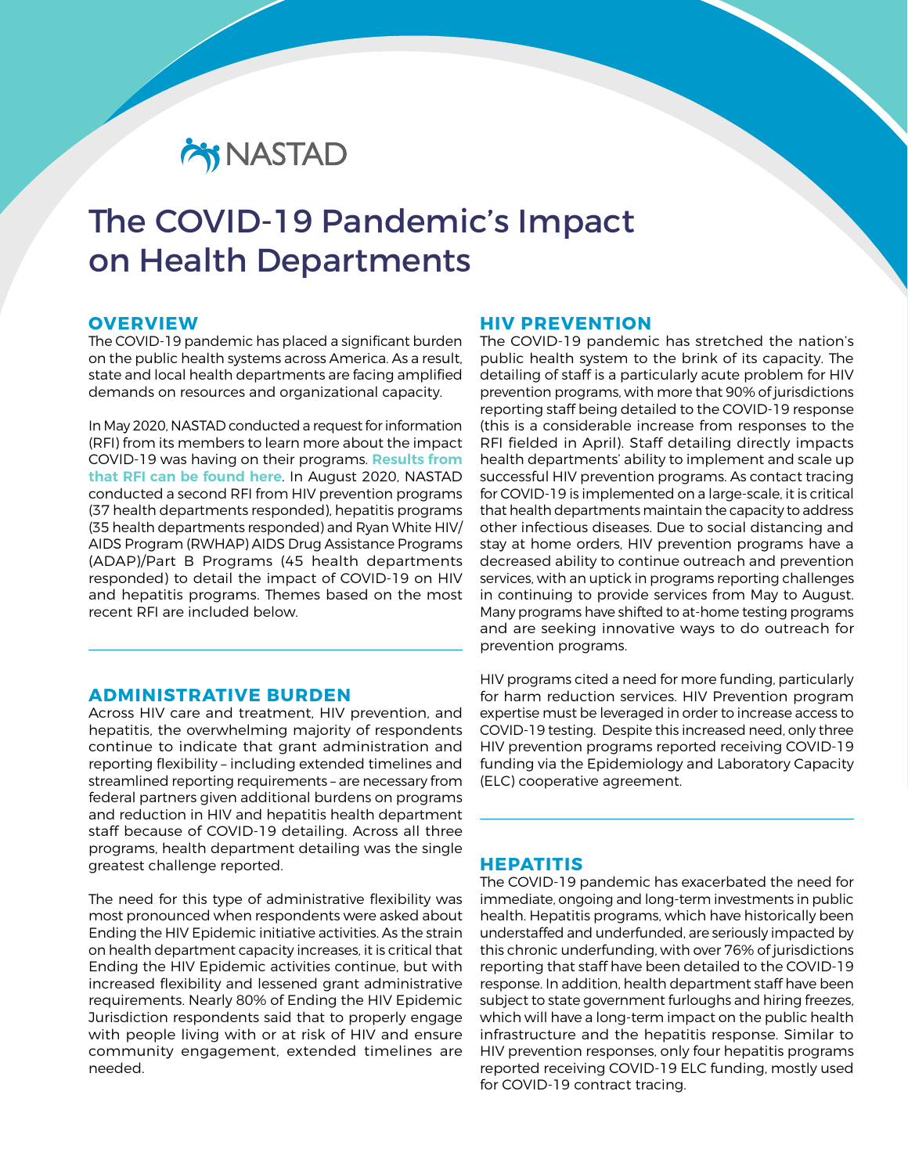# **CHY NASTAD**

## The COVID-19 Pandemic's Impact on Health Departments

#### **OVERVIEW**

The COVID-19 pandemic has placed a significant burden on the public health systems across America. As a result, state and local health departments are facing amplified demands on resources and organizational capacity.

In May 2020, NASTAD conducted a request for information (RFI) from its members to learn more about the impact COVID-19 was having on their programs. **[Results from](mailto:https://www.nastad.org/resource/covid-19-pandemics-impact-hiv-and-hepatitis-programs?subject=) [that RFI can be found here](mailto:https://www.nastad.org/resource/covid-19-pandemics-impact-hiv-and-hepatitis-programs?subject=)**. In August 2020, NASTAD conducted a second RFI from HIV prevention programs (37 health departments responded), hepatitis programs (35 health departments responded) and Ryan White HIV/ AIDS Program (RWHAP) AIDS Drug Assistance Programs (ADAP)/Part B Programs (45 health departments responded) to detail the impact of COVID-19 on HIV and hepatitis programs. Themes based on the most recent RFI are included below.

## **ADMINISTRATIVE BURDEN**

Across HIV care and treatment, HIV prevention, and hepatitis, the overwhelming majority of respondents continue to indicate that grant administration and reporting flexibility – including extended timelines and streamlined reporting requirements – are necessary from federal partners given additional burdens on programs and reduction in HIV and hepatitis health department staff because of COVID-19 detailing. Across all three programs, health department detailing was the single greatest challenge reported.

The need for this type of administrative flexibility was most pronounced when respondents were asked about Ending the HIV Epidemic initiative activities. As the strain on health department capacity increases, it is critical that Ending the HIV Epidemic activities continue, but with increased flexibility and lessened grant administrative requirements. Nearly 80% of Ending the HIV Epidemic Jurisdiction respondents said that to properly engage with people living with or at risk of HIV and ensure community engagement, extended timelines are needed.

## **HIV PREVENTION**

The COVID-19 pandemic has stretched the nation's public health system to the brink of its capacity. The detailing of staff is a particularly acute problem for HIV prevention programs, with more that 90% of jurisdictions reporting staff being detailed to the COVID-19 response (this is a considerable increase from responses to the RFI fielded in April). Staff detailing directly impacts health departments' ability to implement and scale up successful HIV prevention programs. As contact tracing for COVID-19 is implemented on a large-scale, it is critical that health departments maintain the capacity to address other infectious diseases. Due to social distancing and stay at home orders, HIV prevention programs have a decreased ability to continue outreach and prevention services, with an uptick in programs reporting challenges in continuing to provide services from May to August. Many programs have shifted to at-home testing programs and are seeking innovative ways to do outreach for prevention programs.

HIV programs cited a need for more funding, particularly for harm reduction services. HIV Prevention program expertise must be leveraged in order to increase access to COVID-19 testing. Despite this increased need, only three HIV prevention programs reported receiving COVID-19 funding via the Epidemiology and Laboratory Capacity (ELC) cooperative agreement.

## **HEPATITIS**

The COVID-19 pandemic has exacerbated the need for immediate, ongoing and long-term investments in public health. Hepatitis programs, which have historically been understaffed and underfunded, are seriously impacted by this chronic underfunding, with over 76% of jurisdictions reporting that staff have been detailed to the COVID-19 response. In addition, health department staff have been subject to state government furloughs and hiring freezes, which will have a long-term impact on the public health infrastructure and the hepatitis response. Similar to HIV prevention responses, only four hepatitis programs reported receiving COVID-19 ELC funding, mostly used for COVID-19 contract tracing.